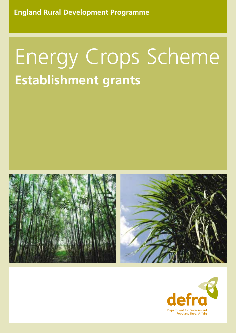**England Rural Development Programme**

# Energy Crops Scheme **Establishment grants**





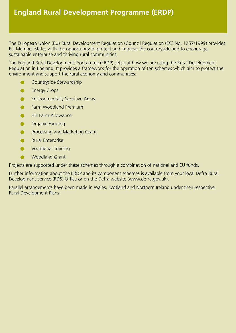The European Union (EU) Rural Development Regulation (Council Regulation (EC) No. 1257/1999) provides EU Member States with the opportunity to protect and improve the countryside and to encourage sustainable enterprise and thriving rural communities.

The England Rural Development Programme (ERDP) sets out how we are using the Rural Development Regulation in England. It provides a framework for the operation of ten schemes which aim to protect the environment and support the rural economy and communities:

- Countryside Stewardship
- **Energy Crops**
- **Environmentally Sensitive Areas**
- Farm Woodland Premium
- Hill Farm Allowance
- Organic Farming
- Processing and Marketing Grant
- Rural Enterprise
- **Vocational Training**
- **Woodland Grant**

Projects are supported under these schemes through a combination of national and EU funds.

Further information about the ERDP and its component schemes is available from your local Defra Rural Development Service (RDS) Office or on the Defra website (www.defra.gov.uk).

Parallel arrangements have been made in Wales, Scotland and Northern Ireland under their respective Rural Development Plans.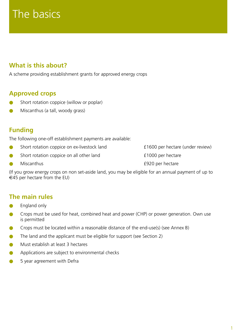## The basics

## **What is this about?**

A scheme providing establishment grants for approved energy crops

### **Approved crops**

- Short rotation coppice (willow or poplar)
- Miscanthus (a tall, woody grass)

## **Funding**

The following one-off establishment payments are available:

- Short rotation coppice on ex-livestock land  $\qquad 21600$  per hectare (under review)
- Short rotation coppice on all other land E1000 per hectare

Miscanthus **E920** per hectare

(If you grow energy crops on non set-aside land, you may be eligible for an annual payment of up to €45 per hectare from the EU)

#### **The main rules**

- England only
- Crops must be used for heat, combined heat and power (CHP) or power generation. Own use is permitted
- Crops must be located within a reasonable distance of the end-use(s) (see Annex B)
- The land and the applicant must be eligible for support (see Section 2)
- Must establish at least 3 hectares
- Applications are subject to environmental checks
- 5 year agreement with Defra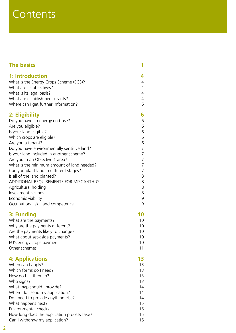## **Contents**

| <b>The basics</b>                           | 1              |
|---------------------------------------------|----------------|
| 1: Introduction                             | 4              |
| What is the Energy Crops Scheme (ECS)?      | $\overline{4}$ |
| What are its objectives?                    | $\overline{4}$ |
| What is its legal basis?                    | $\overline{4}$ |
| What are establishment grants?              | $\overline{4}$ |
| Where can I get further information?        | 5              |
| 2: Eligibility                              | 6              |
| Do you have an energy end-use?              | 6              |
| Are you eligible?                           | 6              |
| Is your land eligible?                      | 6              |
| Which crops are eligible?                   | 6              |
| Are you a tenant?                           | 6              |
| Do you have environmentally sensitive land? | 7              |
| Is your land included in another scheme?    | 7              |
| Are you in an Objective 1 area?             | 7              |
| What is the minimum amount of land needed?  | 7              |
| Can you plant land in different stages?     | $\overline{7}$ |
| Is all of the land planted?                 | 8              |
| ADDITIONAL REQUIREMENTS FOR MISCANTHUS      | 8              |
| Agricultural holding                        | 8              |
| Investment ceilings                         | 8              |
| Economic viability                          | 9              |
| Occupational skill and competence           | 9              |
| <b>3: Funding</b>                           | 10             |
| What are the payments?                      | 10             |
| Why are the payments different?             | 10             |
| Are the payments likely to change?          | 10             |
| What about set-aside payments?              | 10             |
| EU's energy crops payment                   | 10             |
| Other schemes                               | 11             |
| <b>4: Applications</b>                      | 13             |
| When can I apply?                           | 13             |
| Which forms do I need?                      | 13             |
| How do I fill them in?                      | 13             |
| Who signs?                                  | 13             |
| What map should I provide?                  | 14             |
| Where do I send my application?             | 14             |
| Do I need to provide anything else?         | 14             |
| What happens next?                          | 15             |
| Environmental checks                        | 15             |
| How long does the application process take? | 15             |
| Can I withdraw my application?              | 15             |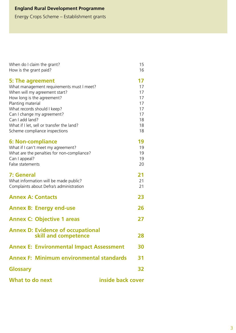## **England Rural Development Programme**

Energy Crops Scheme – Establishment grants

| When do I claim the grant?<br>How is the grant paid?                                                                                                                                                                                                                                                            | 15<br>16                                                     |
|-----------------------------------------------------------------------------------------------------------------------------------------------------------------------------------------------------------------------------------------------------------------------------------------------------------------|--------------------------------------------------------------|
| 5: The agreement<br>What management requirements must I meet?<br>When will my agreement start?<br>How long is the agreement?<br>Planting material<br>What records should I keep?<br>Can I change my agreement?<br>Can I add land?<br>What if I let, sell or transfer the land?<br>Scheme compliance inspections | $17\,$<br>17<br>17<br>17<br>17<br>17<br>17<br>18<br>18<br>18 |
| <b>6: Non-compliance</b><br>What if I can't meet my agreement?<br>What are the penalties for non-compliance?<br>Can I appeal?<br>False statements                                                                                                                                                               | 19<br>19<br>19<br>19<br>20                                   |
| 7: General<br>What information will be made public?<br>Complaints about Defra's administration                                                                                                                                                                                                                  | 21<br>21<br>21                                               |
| <b>Annex A: Contacts</b>                                                                                                                                                                                                                                                                                        | 23                                                           |
| <b>Annex B: Energy end-use</b>                                                                                                                                                                                                                                                                                  | 26                                                           |
| <b>Annex C: Objective 1 areas</b>                                                                                                                                                                                                                                                                               | 27                                                           |
| <b>Annex D: Evidence of occupational</b><br>skill and competence                                                                                                                                                                                                                                                | 28                                                           |
| <b>Annex E: Environmental Impact Assessment</b>                                                                                                                                                                                                                                                                 | 30                                                           |
| <b>Annex F: Minimum environmental standards</b>                                                                                                                                                                                                                                                                 | 31                                                           |
| Glossary                                                                                                                                                                                                                                                                                                        | 32                                                           |
| <b>What to do next</b><br>inside back cover                                                                                                                                                                                                                                                                     |                                                              |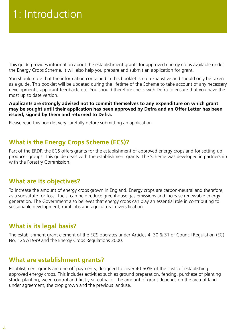## 1: Introduction

This guide provides information about the establishment grants for approved energy crops available under the Energy Crops Scheme. It will also help you prepare and submit an application for grant.

You should note that the information contained in this booklet is not exhaustive and should only be taken as a guide. This booklet will be updated during the lifetime of the Scheme to take account of any necessary developments, applicant feedback, etc. You should therefore check with Defra to ensure that you have the most up to date version.

**Applicants are strongly advised not to commit themselves to any expenditure on which grant may be sought until their application has been approved by Defra and an Offer Letter has been issued, signed by them and returned to Defra.**

Please read this booklet very carefully before submitting an application.

## **What is the Energy Crops Scheme (ECS)?**

Part of the ERDP, the ECS offers grants for the establishment of approved energy crops and for setting up producer groups. This guide deals with the establishment grants. The Scheme was developed in partnership with the Forestry Commission.

#### **What are its objectives?**

To increase the amount of energy crops grown in England. Energy crops are carbon-neutral and therefore, as a substitute for fossil fuels, can help reduce greenhouse gas emissions and increase renewable energy generation. The Government also believes that energy crops can play an essential role in contributing to sustainable development, rural jobs and agricultural diversification.

## **What is its legal basis?**

The establishment grant element of the ECS operates under Articles 4, 30 & 31 of Council Regulation (EC) No. 1257/1999 and the Energy Crops Regulations 2000.

#### **What are establishment grants?**

Establishment grants are one-off payments, designed to cover 40-50% of the costs of establishing approved energy crops. This includes activities such as ground preparation, fencing, purchase of planting stock, planting, weed control and first year cutback. The amount of grant depends on the area of land under agreement, the crop grown and the previous landuse.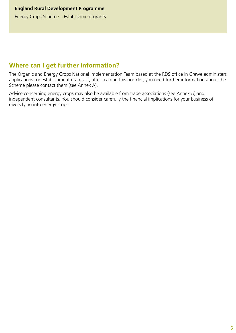## **Where can I get further information?**

The Organic and Energy Crops National Implementation Team based at the RDS office in Crewe administers applications for establishment grants. If, after reading this booklet, you need further information about the Scheme please contact them (see Annex A).

Advice concerning energy crops may also be available from trade associations (see Annex A) and independent consultants. You should consider carefully the financial implications for your business of diversifying into energy crops.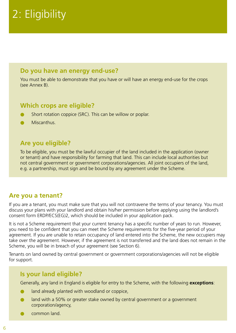## 2: Eligibility

## **Do you have an energy end-use?**

You must be able to demonstrate that you have or will have an energy end-use for the crops (see Annex B).

## **Which crops are eligible?**

- Short rotation coppice (SRC). This can be willow or poplar.
- Miscanthus.

## **Are you eligible?**

To be eligible, you must be the lawful occupier of the land included in the application (owner or tenant) and have responsibility for farming that land. This can include local authorities but not central government or government corporations/agencies. All joint occupiers of the land, e.g. a partnership, must sign and be bound by any agreement under the Scheme.

#### **Are you a tenant?**

If you are a tenant, you must make sure that you will not contravene the terms of your tenancy. You must discuss your plans with your landlord and obtain his/her permission before applying using the landlord's consent form ERDP/ECS(EG)2, which should be included in your application pack.

It is not a Scheme requirement that your current tenancy has a specific number of years to run. However, you need to be confident that you can meet the Scheme requirements for the five-year period of your agreement. If you are unable to retain occupancy of land entered into the Scheme, the new occupiers may take over the agreement. However, if the agreement is not transferred and the land does not remain in the Scheme, you will be in breach of your agreement (see Section 6).

Tenants on land owned by central government or government corporations/agencies will not be eligible for support.

#### **Is your land eligible?**

Generally, any land in England is eligible for entry to the Scheme, with the following **exceptions**:

- land already planted with woodland or coppice,
- land with a 50% or greater stake owned by central government or a government corporation/agency,
- common land.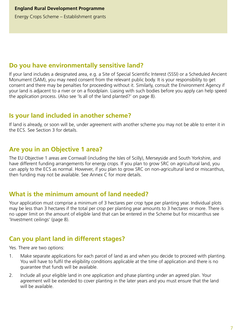### **Do you have environmentally sensitive land?**

If your land includes a designated area, e.g. a Site of Special Scientific Interest (SSSI) or a Scheduled Ancient Monument (SAM), you may need consent from the relevant public body. It is your responsibility to get consent and there may be penalties for proceeding without it. Similarly, consult the Environment Agency if your land is adjacent to a river or on a floodplain. Liasing with such bodies before you apply can help speed the application process. (Also see 'Is all of the land planted?' on page 8).

#### **Is your land included in another scheme?**

If land is already, or soon will be, under agreement with another scheme you may not be able to enter it in the ECS. See Section 3 for details.

#### **Are you in an Objective 1 area?**

The EU Objective 1 areas are Cornwall (including the Isles of Scilly), Merseyside and South Yorkshire, and have different funding arrangements for energy crops. If you plan to grow SRC on agricultural land, you can apply to the ECS as normal. However, if you plan to grow SRC on non-agricultural land or miscanthus, then funding may not be available. See Annex C for more details.

#### **What is the minimum amount of land needed?**

Your application must comprise a minimum of 3 hectares per crop type per planting year. Individual plots may be less than 3 hectares if the total per crop per planting year amounts to 3 hectares or more. There is no upper limit on the amount of eligible land that can be entered in the Scheme but for miscanthus see 'Investment ceilings' (page 8).

#### **Can you plant land in different stages?**

Yes. There are two options:

- 1. Make separate applications for each parcel of land as and when you decide to proceed with planting. You will have to fulfil the eligibility conditions applicable at the time of application and there is no guarantee that funds will be available.
- 2. Include all your eligible land in one application and phase planting under an agreed plan. Your agreement will be extended to cover planting in the later years and you must ensure that the land will be available.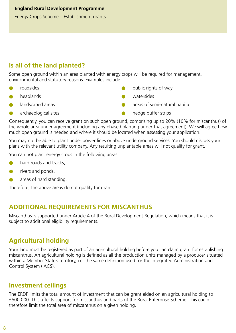## **Is all of the land planted?**

Some open ground within an area planted with energy crops will be required for management, environmental and statutory reasons. Examples include:

- 
- 
- 
- 
- roadsides  **public rights of way**
- headlands **beadlands beadlands**
- landscaped areas expression areas areas of semi-natural habitat
- archaeological sites example and the strips of the hedge buffer strips

Consequently, you can receive grant on such open ground, comprising up to 20% (10% for miscanthus) of the whole area under agreement (including any phased planting under that agreement). We will agree how much open ground is needed and where it should be located when assessing your application.

You may not be able to plant under power lines or above underground services. You should discuss your plans with the relevant utility company. Any resulting unplantable areas will not qualify for grant.

You can not plant energy crops in the following areas:

- hard roads and tracks.
- rivers and ponds.
- areas of hard standing.

Therefore, the above areas do not qualify for grant.

#### **ADDITIONAL REQUIREMENTS FOR MISCANTHUS**

Miscanthus is supported under Article 4 of the Rural Development Regulation, which means that it is subject to additional eligibility requirements.

## **Agricultural holding**

Your land must be registered as part of an agricultural holding before you can claim grant for establishing miscanthus. An agricultural holding is defined as all the production units managed by a producer situated within a Member State's territory, i.e. the same definition used for the Integrated Administration and Control System (IACS).

#### **Investment ceilings**

The ERDP limits the total amount of investment that can be grant aided on an agricultural holding to £500,000. This affects support for miscanthus and parts of the Rural Enterprise Scheme. This could therefore limit the total area of miscanthus on a given holding.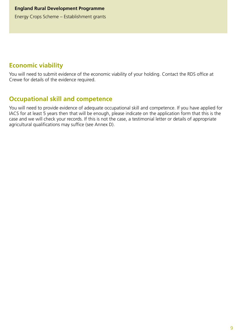## **Economic viability**

You will need to submit evidence of the economic viability of your holding. Contact the RDS office at Crewe for details of the evidence required.

## **Occupational skill and competence**

You will need to provide evidence of adequate occupational skill and competence. If you have applied for IACS for at least 5 years then that will be enough, please indicate on the application form that this is the case and we will check your records. If this is not the case, a testimonial letter or details of appropriate agricultural qualifications may suffice (see Annex D).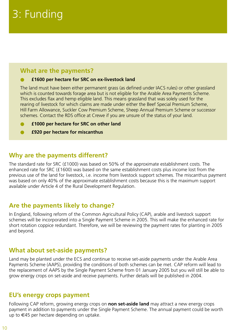#### **What are the payments?**

#### **£1600 per hectare for SRC on ex-livestock land**

The land must have been either permanent grass (as defined under IACS rules) or other grassland which is counted towards forage area but is not eligible for the Arable Area Payments Scheme. This excludes flax and hemp eligible land. This means grassland that was solely used for the rearing of livestock for which claims are made under either the Beef Special Premium Scheme, Hill Farm Allowance, Suckler Cow Premium Scheme, Sheep Annual Premium Scheme or successor schemes. Contact the RDS office at Crewe if you are unsure of the status of your land.

- **£1000 per hectare for SRC on other land**
- **£920 per hectare for miscanthus**

### **Why are the payments different?**

The standard rate for SRC (£1000) was based on 50% of the approximate establishment costs. The enhanced rate for SRC (£1600) was based on the same establishment costs plus income lost from the previous use of the land for livestock, i.e. income from livestock support schemes. The miscanthus payment was based on only 40% of the approximate establishment costs because this is the maximum support available under Article 4 of the Rural Development Regulation.

#### **Are the payments likely to change?**

In England, following reform of the Common Agricultural Policy (CAP), arable and livestock support schemes will be incorporated into a Single Payment Scheme in 2005. This will make the enhanced rate for short rotation coppice redundant. Therefore, we will be reviewing the payment rates for planting in 2005 and beyond.

## **What about set-aside payments?**

Land may be planted under the ECS and continue to receive set-aside payments under the Arable Area Payments Scheme (AAPS), providing the conditions of both schemes can be met. CAP reform will lead to the replacement of AAPS by the Single Payment Scheme from 01 January 2005 but you will still be able to grow energy crops on set-aside and receive payments. Further details will be published in 2004.

#### **EU's energy crops payment**

Following CAP reform, growing energy crops on **non set-aside land** may attract a new energy crops payment in addition to payments under the Single Payment Scheme. The annual payment could be worth up to €45 per hectare depending on uptake.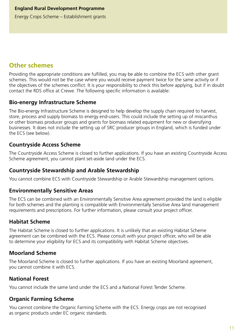## **Other schemes**

Providing the appropriate conditions are fulfilled, you may be able to combine the ECS with other grant schemes. This would not be the case where you would receive payment twice for the same activity or if the objectives of the schemes conflict. It is your responsibility to check this before applying, but if in doubt contact the RDS office at Crewe. The following specific information is available:

#### **Bio-energy Infrastructure Scheme**

The Bio-energy Infrastructure Scheme is designed to help develop the supply chain required to harvest, store, process and supply biomass to energy end-users. This could include the setting up of miscanthus or other biomass producer groups and grants for biomass related equipment for new or diversifying businesses. It does not include the setting up of SRC producer groups in England, which is funded under the ECS (see below).

#### **Countryside Access Scheme**

The Countryside Access Scheme is closed to further applications. If you have an existing Countryside Access Scheme agreement, you cannot plant set-aside land under the ECS.

#### **Countryside Stewardship and Arable Stewardship**

You cannot combine ECS with Countryside Stewardship or Arable Stewardship management options.

#### **Environmentally Sensitive Areas**

The ECS can be combined with an Environmentally Sensitive Area agreement provided the land is eligible for both schemes and the planting is compatible with Environmentally Sensitive Area land management requirements and prescriptions. For further information, please consult your project officer.

#### **Habitat Scheme**

The Habitat Scheme is closed to further applications. It is unlikely that an existing Habitat Scheme agreement can be combined with the ECS. Please consult with your project officer, who will be able to determine your eligibility for ECS and its compatibility with Habitat Scheme objectives.

#### **Moorland Scheme**

The Moorland Scheme is closed to further applications. If you have an existing Moorland agreement, you cannot combine it with ECS.

#### **National Forest**

You cannot include the same land under the ECS and a National Forest Tender Scheme.

#### **Organic Farming Scheme**

You cannot combine the Organic Farming Scheme with the ECS. Energy crops are not recognised as organic products under EC organic standards.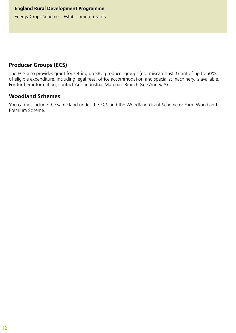#### **Producer Groups (ECS)**

The ECS also provides grant for setting up SRC producer groups (not miscanthus). Grant of up to 50% of eligible expenditure, including legal fees, office accommodation and specialist machinery, is available. For further information, contact Agri-industrial Materials Branch (see Annex A).

#### **Woodland Schemes**

You cannot include the same land under the ECS and the Woodland Grant Scheme or Farm Woodland Premium Scheme.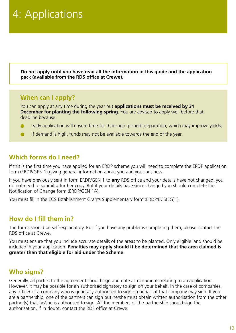**Do not apply until you have read all the information in this guide and the application pack (available from the RDS office at Crewe).**

## **When can I apply?**

You can apply at any time during the year but **applications must be received by 31 December for planting the following spring**. You are advised to apply well before that deadline because:

- early application will ensure time for thorough ground preparation, which may improve yields;
- if demand is high, funds may not be available towards the end of the year.

## **Which forms do I need?**

If this is the first time you have applied for an ERDP scheme you will need to complete the ERDP application form (ERDP/GEN 1) giving general information about you and your business.

If you have previously sent in form ERDP/GEN 1 to **any** RDS office and your details have not changed, you do not need to submit a further copy. But if your details have since changed you should complete the Notification of Change form (ERDP/GEN 1A).

You must fill in the ECS Establishment Grants Supplementary form (ERDP/ECS(EG)1).

## **How do I fill them in?**

The forms should be self-explanatory. But if you have any problems completing them, please contact the RDS office at Crewe.

You must ensure that you include accurate details of the areas to be planted. Only eligible land should be included in your application. **Penalties may apply should it be determined that the area claimed is greater than that eligible for aid under the Scheme**.

## **Who signs?**

Generally, all parties to the agreement should sign and date all documents relating to an application. However, it may be possible for an authorised signatory to sign on your behalf. In the case of companies, any officer of a company who is generally authorised to sign on behalf of that company may sign. If you are a partnership, one of the partners can sign but he/she must obtain written authorisation from the other partner(s) that he/she is authorised to sign. All the members of the partnership should sign the authorisation. If in doubt, contact the RDS office at Crewe.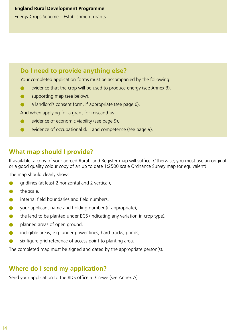### **Do I need to provide anything else?**

Your completed application forms must be accompanied by the following:

- evidence that the crop will be used to produce energy (see Annex B),
- supporting map (see below),
- a landlord's consent form, if appropriate (see page 6).

And when applying for a grant for miscanthus:

- evidence of economic viability (see page 9),
- evidence of occupational skill and competence (see page 9).

## **What map should I provide?**

If available, a copy of your agreed Rural Land Register map will suffice. Otherwise, you must use an original or a good quality colour copy of an up to date 1:2500 scale Ordnance Survey map (or equivalent).

The map should clearly show:

- $\bullet$  gridlines (at least 2 horizontal and 2 vertical),
- the scale.
- internal field boundaries and field numbers,
- your applicant name and holding number (if appropriate),
- $\bullet$  the land to be planted under ECS (indicating any variation in crop type),
- planned areas of open ground,
- ineligible areas, e.g. under power lines, hard tracks, ponds,
- six figure grid reference of access point to planting area.

The completed map must be signed and dated by the appropriate person(s).

## **Where do I send my application?**

Send your application to the RDS office at Crewe (see Annex A).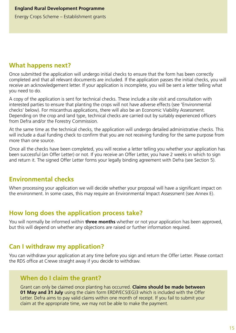#### **What happens next?**

Once submitted the application will undergo initial checks to ensure that the form has been correctly completed and that all relevant documents are included. If the application passes the initial checks, you will receive an acknowledgement letter. If your application is incomplete, you will be sent a letter telling what you need to do.

A copy of the application is sent for technical checks. These include a site visit and consultation with interested parties to ensure that planting the crops will not have adverse effects (see 'Environmental checks' below). For miscanthus applications, there will also be an Economic Viability Assessment. Depending on the crop and land type, technical checks are carried out by suitably experienced officers from Defra and/or the Forestry Commission.

At the same time as the technical checks, the application will undergo detailed administrative checks. This will include a dual funding check to confirm that you are not receiving funding for the same purpose from more than one source.

Once all the checks have been completed, you will receive a letter telling you whether your application has been successful (an Offer Letter) or not. If you receive an Offer Letter, you have 2 weeks in which to sign and return it. The signed Offer Letter forms your legally binding agreement with Defra (see Section 5).

## **Environmental checks**

When processing your application we will decide whether your proposal will have a significant impact on the environment. In some cases, this may require an Environmental Impact Assessment (see Annex E).

## **How long does the application process take?**

You will normally be informed within **three months** whether or not your application has been approved, but this will depend on whether any objections are raised or further information required.

## **Can I withdraw my application?**

You can withdraw your application at any time before you sign and return the Offer Letter. Please contact the RDS office at Crewe straight away if you decide to withdraw.

#### **When do I claim the grant?**

Grant can only be claimed once planting has occurred. **Claims should be made between 01 May and 31 July** using the claim form ERDP/ECS(EG)3 which is included with the Offer Letter. Defra aims to pay valid claims within one month of receipt. If you fail to submit your claim at the appropriate time, we may not be able to make the payment.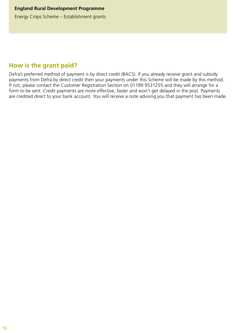## **How is the grant paid?**

Defra's preferred method of payment is by direct credit (BACS). If you already receive grant and subsidy payments from Defra by direct credit then your payments under this Scheme will be made by this method. If not, please contact the Customer Registration Section on 01189 9531255 and they will arrange for a form to be sent. Credit payments are more effective, faster and won't get delayed in the post. Payments are credited direct to your bank account. You will receive a note advising you that payment has been made.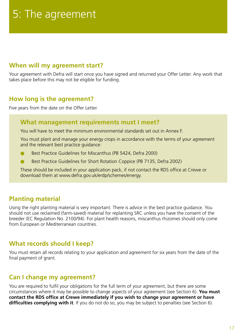## 5: The agreement

#### **When will my agreement start?**

Your agreement with Defra will start once you have signed and returned your Offer Letter. Any work that takes place before this may not be eligible for funding.

### **How long is the agreement?**

Five years from the date on the Offer Letter.

#### **What management requirements must I meet?**

You will have to meet the minimum environmental standards set out in Annex F.

You must plant and manage your energy crops in accordance with the terms of your agreement and the relevant best practice guidance:

- Best Practice Guidelines for Miscanthus (PB 5424, Defra 2000)
- Best Practice Guidelines for Short Rotation Coppice (PB 7135, Defra 2002)

These should be included in your application pack, if not contact the RDS office at Crewe or download them at www.defra.gov.uk/erdp/schemes/energy.

## **Planting material**

Using the right planting material is very important. There is advice in the best practice guidance. You should not use reclaimed (farm-saved) material for replanting SRC unless you have the consent of the breeder (EC Regulation No. 2100/94). For plant health reasons, miscanthus rhizomes should only come from European or Mediterranean countries.

#### **What records should I keep?**

You must retain all records relating to your application and agreement for six years from the date of the final payment of grant.

#### **Can I change my agreement?**

You are required to fulfil your obligations for the full term of your agreement, but there are some circumstances where it may be possible to change aspects of your agreement (see Section 6). **You must contact the RDS office at Crewe immediately if you wish to change your agreement or have difficulties complying with it**. If you do not do so, you may be subject to penalties (see Section 6).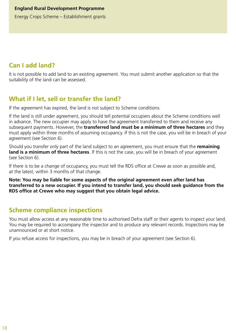## **Can I add land?**

It is not possible to add land to an existing agreement. You must submit another application so that the suitability of the land can be assessed.

## **What if I let, sell or transfer the land?**

If the agreement has expired, the land is not subject to Scheme conditions.

If the land is still under agreement, you should tell potential occupiers about the Scheme conditions well in advance. The new occupier may apply to have the agreement transferred to them and receive any subsequent payments. However, the **transferred land must be a minimum of three hectares** and they must apply within three months of assuming occupancy. If this is not the case, you will be in breach of your agreement (see Section 6).

Should you transfer only part of the land subject to an agreement, you must ensure that the **remaining land is a minimum of three hectares**. If this is not the case, you will be in breach of your agreement (see Section 6).

If there is to be a change of occupancy, you must tell the RDS office at Crewe as soon as possible and, at the latest, within 3 months of that change.

**Note: You may be liable for some aspects of the original agreement even after land has transferred to a new occupier. If you intend to transfer land, you should seek guidance from the RDS office at Crewe who may suggest that you obtain legal advice.**

#### **Scheme compliance inspections**

You must allow access at any reasonable time to authorised Defra staff or their agents to inspect your land. You may be required to accompany the inspector and to produce any relevant records. Inspections may be unannounced or at short notice.

If you refuse access for inspections, you may be in breach of your agreement (see Section 6).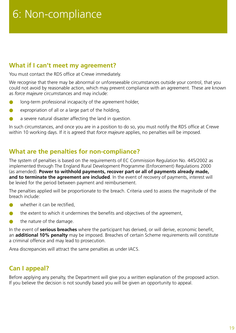## 6: Non-compliance

#### **What if I can't meet my agreement?**

You must contact the RDS office at Crewe immediately.

We recognise that there may be abnormal or unforeseeable circumstances outside your control, that you could not avoid by reasonable action, which may prevent compliance with an agreement. These are known as *force majeure* circumstances and may include:

- long-term professional incapacity of the agreement holder,
- expropriation of all or a large part of the holding,
- a severe natural disaster affecting the land in question.

In such circumstances, and once you are in a position to do so, you must notify the RDS office at Crewe within 10 working days. If it is agreed that *force majeure* applies, no penalties will be imposed.

## **What are the penalties for non-compliance?**

The system of penalties is based on the requirements of EC Commission Regulation No. 445/2002 as implemented through The England Rural Development Programme (Enforcement) Regulations 2000 (as amended). **Power to withhold payments, recover part or all of payments already made, and to terminate the agreement are included**. In the event of recovery of payments, interest will be levied for the period between payment and reimbursement.

The penalties applied will be proportionate to the breach. Criteria used to assess the magnitude of the breach include:

- whether it can be rectified,
- the extent to which it undermines the benefits and objectives of the agreement,
- the nature of the damage.

In the event of **serious breaches** where the participant has derived, or will derive, economic benefit, an **additional 10% penalty** may be imposed. Breaches of certain Scheme requirements will constitute a criminal offence and may lead to prosecution.

Area discrepancies will attract the same penalties as under IACS.

## **Can I appeal?**

Before applying any penalty, the Department will give you a written explanation of the proposed action. If you believe the decision is not soundly based you will be given an opportunity to appeal.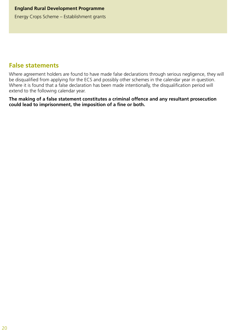#### **False statements**

Where agreement holders are found to have made false declarations through serious negligence, they will be disqualified from applying for the ECS and possibly other schemes in the calendar year in question. Where it is found that a false declaration has been made intentionally, the disqualification period will extend to the following calendar year.

**The making of a false statement constitutes a criminal offence and any resultant prosecution could lead to imprisonment, the imposition of a fine or both.**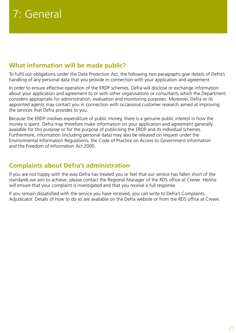## **What information will be made public?**

To fulfil our obligations under the Data Protection Act, the following two paragraphs give details of Defra's handling of any personal data that you provide in connection with your application and agreement.

In order to ensure effective operation of the ERDP schemes, Defra will disclose or exchange information about your application and agreement to or with other organisations or consultants which the Department considers appropriate for administration, evaluation and monitoring purposes. Moreover, Defra or its appointed agents may contact you in connection with occasional customer research aimed at improving the services that Defra provides to you.

Because the ERDP involves expenditure of public money, there is a genuine public interest in how the money is spent. Defra may therefore make information on your application and agreement generally available for this purpose or for the purpose of publicising the ERDP and its individual schemes. Furthermore, information (including personal data) may also be released on request under the Environmental Information Regulations, the Code of Practice on Access to Government Information and the Freedom of Information Act 2000.

### **Complaints about Defra's administration**

If you are not happy with the way Defra has treated you or feel that our service has fallen short of the standards we aim to achieve, please contact the Regional Manager of the RDS office at Crewe. He/she will ensure that your complaint is investigated and that you receive a full response.

If you remain dissatisfied with the service you have received, you can write to Defra's Complaints Adjudicator. Details of how to do so are available on the Defra website or from the RDS office at Crewe.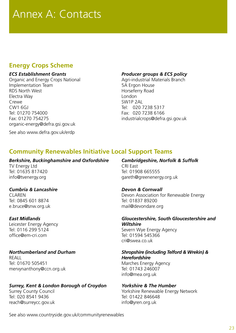## Annex A: Contacts

### **Energy Crops Scheme**

#### *ECS Establishment Grants*

Organic and Energy Crops National Implementation Team RDS North West Electra Way Crewe CW1 6GJ Tel: 01270 754000 Fax: 01270 754275 organic-energy@defra.gsi.gov.uk

See also www.defra.gov.uk/erdp

#### *Producer groups & ECS policy*

Agri-industrial Materials Branch 5A Ergon House Horseferry Road London SW1P 2AL Tel: 020 7238 5317 Fax: 020 7238 6166 industrialcrops@defra.gsi.gov.uk

#### **Community Renewables Initiative Local Support Teams**

#### *Berkshire, Buckinghamshire and Oxfordshire*

TV Energy Ltd Tel: 01635 817420 info@tvenergy.org

#### *Cumbria & Lancashire*

CLAREN Tel: 0845 601 8874 e.bruce@snw.org.uk

#### *East Midlands*

Leicester Energy Agency Tel: 0116 299 5124 office@em-cri.com

#### *Northumberland and Durham*

**RFALL** Tel: 01670 505451 mervynanthony@ccn.org.uk

#### *Surrey, Kent & London Borough of Croydon*

Surrey County Council Tel: 020 8541 9436 reach@surreycc.gov.uk *Cambridgeshire, Norfolk & Suffolk* CRI East Tel: 01908 665555 gareth@greenenergy.org.uk

#### *Devon & Cornwall*

Devon Association for Renewable Energy Tel: 01837 89200 mail@devondare.org

#### *Gloucestershire, South Gloucestershire and Wiltshire* Severn Wye Energy Agency

Tel: 01594 545366 cri@swea.co.uk

#### *Shropshire (including Telford & Wrekin) & Herefordshire* Marches Energy Agency Tel: 01743 246007 info@mea.org.uk

#### *Yorkshire & The Humber*

Yorkshire Renewable Energy Network Tel: 01422 846648 info@yren.org.uk

See also www.countryside.gov.uk/communityrenewables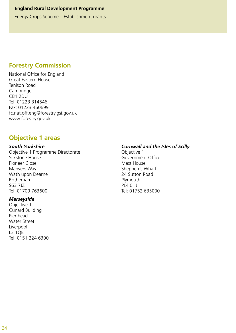#### **England Rural Development Programme**

Energy Crops Scheme – Establishment grants

#### **Forestry Commission**

National Office for England Great Eastern House Tenison Road Cambridge CB1 2DU Tel: 01223 314546 Fax: 01223 460699 fc.nat.off.eng@forestry.gsi.gov.uk www.forestry.gov.uk

#### **Objective 1 areas**

#### *South Yorkshire*

Objective 1 Programme Directorate Silkstone House Pioneer Close Manvers Way Wath upon Dearne Rotherham S63 7JZ Tel: 01709 763600

#### *Merseyside*

Objective 1 Cunard Building Pier head Water Street Liverpool L3 1QB Tel: 0151 224 6300

#### *Cornwall and the Isles of Scilly*

Objective 1 Government Office Mast House Shepherds Wharf 24 Sutton Road Plymouth PL4 0HJ Tel: 01752 635000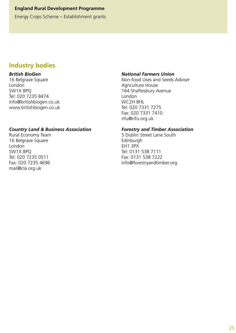#### **England Rural Development Programme**

Energy Crops Scheme – Establishment grants

#### **Industry bodies**

#### *British BioGen*

16 Belgrave Square London SW1X 8PQ Tel: 020 7235 8474 info@britishbiogen.co.uk www.britishbiogen.co.uk

#### *Country Land & Business Association*

Rural Economy Team 16 Belgrave Square London SW1X 8PQ Tel: 020 7235 0511 Fax: 020 7235 4696 mail@cla.org.uk

#### *National Farmers Union*

Non-food Uses and Seeds Adviser Agriculture House 164 Shaftesbury Avenue London WC2H 8HL Tel: 020 7331 7275 Fax: 020 7331 7410 nfu@nfu.org.uk

#### *Forestry and Timber Association*

5 Dublin Street Lane South Edinburgh EH1 3PX Tel: 0131 538 7111 Fax: 0131 538 7222 info@forestryandtimber.org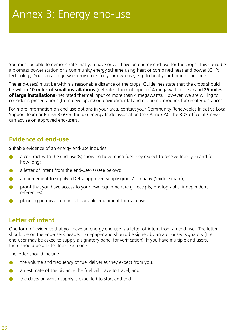You must be able to demonstrate that you have or will have an energy end-use for the crops. This could be a biomass power station or a community energy scheme using heat or combined heat and power (CHP) technology. You can also grow energy crops for your own use, e.g. to heat your home or business.

The end-use(s) must be within a reasonable distance of the crops. Guidelines state that the crops should be within **10 miles of small installations** (net rated thermal input of 4 megawatts or less) and **25 miles of large installations** (net rated thermal input of more than 4 megawatts). However, we are willing to consider representations (from developers) on environmental and economic grounds for greater distances.

For more information on end-use options in your area, contact your Community Renewables Initiative Local Support Team or British BioGen the bio-energy trade association (see Annex A). The RDS office at Crewe can advise on approved end-users.

## **Evidence of end-use**

Suitable evidence of an energy end-use includes:

- a contract with the end-user(s) showing how much fuel they expect to receive from you and for how long;
- a letter of intent from the end-user(s) (see below);
- an agreement to supply a Defra approved supply group/company ('middle man');
- proof that you have access to your own equipment (e.g. receipts, photographs, independent references);
- planning permission to install suitable equipment for own use.

## **Letter of intent**

One form of evidence that you have an energy end-use is a letter of intent from an end-user. The letter should be on the end-user's headed notepaper and should be signed by an authorised signatory (the end-user may be asked to supply a signatory panel for verification). If you have multiple end users, there should be a letter from each one.

The letter should include:

- $\bullet$  the volume and frequency of fuel deliveries they expect from you,
- an estimate of the distance the fuel will have to travel, and
- the dates on which supply is expected to start and end.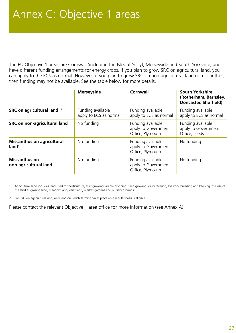The EU Objective 1 areas are Cornwall (including the Isles of Scilly), Merseyside and South Yorkshire, and have different funding arrangements for energy crops. If you plan to grow SRC on agricultural land, you can apply to the ECS as normal. However, if you plan to grow SRC on non-agricultural land or miscanthus, then funding may not be available. See the table below for more details.

|                                                        | <b>Merseyside</b>                           | <b>Cornwall</b>                                              | <b>South Yorkshire</b><br>(Rotherham, Barnsley,<br><b>Doncaster, Sheffield)</b> |
|--------------------------------------------------------|---------------------------------------------|--------------------------------------------------------------|---------------------------------------------------------------------------------|
| SRC on agricultural land <sup>1,2</sup>                | Funding available<br>apply to ECS as normal | Funding available<br>apply to ECS as normal                  | Funding available<br>apply to ECS as normal                                     |
| <b>SRC on non-agricultural land</b>                    | No funding                                  | Funding available<br>apply to Government<br>Office, Plymouth | Funding available<br>apply to Government<br>Office, Leeds                       |
| <b>Miscanthus on agricultural</b><br>land <sup>1</sup> | No funding                                  | Funding available<br>apply to Government<br>Office, Plymouth | No funding                                                                      |
| <b>Miscanthus on</b><br>non-agricultural land          | No funding                                  | Funding available<br>apply to Government<br>Office, Plymouth | No funding                                                                      |

1. Agricultural land includes land used for horticulture, fruit growing, arable cropping, seed growing, dairy farming, livestock breeding and keeping, the use of the land as grazing land, meadow land, osier land, market gardens and nursery grounds.

2. For SRC on agricultural land, only land on which farming takes place on a regular basis is eligible.

Please contact the relevant Objective 1 area office for more information (see Annex A).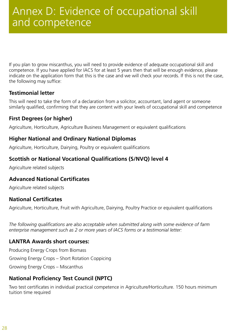If you plan to grow miscanthus, you will need to provide evidence of adequate occupational skill and competence. If you have applied for IACS for at least 5 years then that will be enough evidence, please indicate on the application form that this is the case and we will check your records. If this is not the case, the following may suffice:

#### **Testimonial letter**

This will need to take the form of a declaration from a solicitor, accountant, land agent or someone similarly qualified, confirming that they are content with your levels of occupational skill and competence

#### **First Degrees (or higher)**

Agriculture, Horticulture, Agriculture Business Management or equivalent qualifications

#### **Higher National and Ordinary National Diplomas**

Agriculture, Horticulture, Dairying, Poultry or equivalent qualifications

#### **Scottish or National Vocational Qualifications (S/NVQ) level 4**

Agriculture related subjects

#### **Advanced National Certificates**

Agriculture related subjects

#### **National Certificates**

Agriculture, Horticulture, Fruit with Agriculture, Dairying, Poultry Practice or equivalent qualifications

*The following qualifications are also acceptable when submitted along with some evidence of farm enterprise management such as 2 or more years of IACS forms or a testimonial letter:*

#### **LANTRA Awards short courses:**

Producing Energy Crops from Biomass Growing Energy Crops – Short Rotation Coppicing Growing Energy Crops – Miscanthus

#### **National Proficiency Test Council (NPTC)**

Two test certificates in individual practical competence in Agriculture/Horticulture. 150 hours minimum tuition time required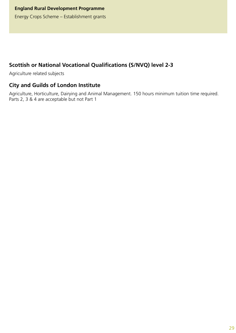#### **England Rural Development Programme**

Energy Crops Scheme – Establishment grants

#### **Scottish or National Vocational Qualifications (S/NVQ) level 2-3**

Agriculture related subjects

#### **City and Guilds of London Institute**

Agriculture, Horticulture, Dairying and Animal Management. 150 hours minimum tuition time required. Parts 2, 3 & 4 are acceptable but not Part 1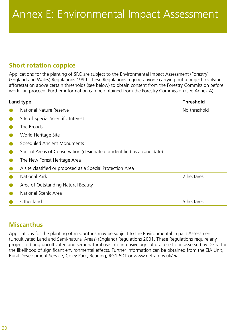## **Short rotation coppice**

Applications for the planting of SRC are subject to the Environmental Impact Assessment (Forestry) (England and Wales) Regulations 1999. These Regulations require anyone carrying out a project involving afforestation above certain thresholds (see below) to obtain consent from the Forestry Commission before work can proceed. Further information can be obtained from the Forestry Commission (see Annex A).

| Land type |                                                                         | <b>Threshold</b> |
|-----------|-------------------------------------------------------------------------|------------------|
|           | National Nature Reserve                                                 | No threshold     |
| $\bullet$ | Site of Special Scientific Interest                                     |                  |
| $\bullet$ | The Broads                                                              |                  |
| $\bullet$ | World Heritage Site                                                     |                  |
| $\bullet$ | <b>Scheduled Ancient Monuments</b>                                      |                  |
| $\bullet$ | Special Areas of Conservation (designated or identified as a candidate) |                  |
| $\bullet$ | The New Forest Heritage Area                                            |                  |
| $\bullet$ | A site classified or proposed as a Special Protection Area              |                  |
| $\bullet$ | <b>National Park</b>                                                    | 2 hectares       |
| $\bullet$ | Area of Outstanding Natural Beauty                                      |                  |
| $\bullet$ | National Scenic Area                                                    |                  |
|           | Other land                                                              | 5 hectares       |

#### **Miscanthus**

Applications for the planting of miscanthus may be subject to the Environmental Impact Assessment (Uncultivated Land and Semi-natural Areas) (England) Regulations 2001. These Regulations require any project to bring uncultivated and semi-natural use into intensive agricultural use to be assessed by Defra for the likelihood of significant environmental effects. Further information can be obtained from the EIA Unit, Rural Development Service, Coley Park, Reading, RG1 6DT or www.defra.gov.uk/eia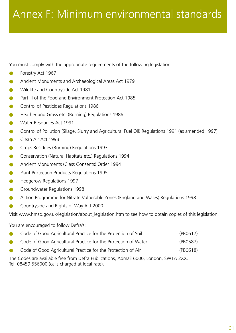You must comply with the appropriate requirements of the following legislation:

- Forestry Act 1967
- Ancient Monuments and Archaeological Areas Act 1979
- **•** Wildlife and Countryside Act 1981
- Part III of the Food and Environment Protection Act 1985
- Control of Pesticides Regulations 1986
- Heather and Grass etc. (Burning) Regulations 1986
- Water Resources Act 1991
- Control of Pollution (Silage, Slurry and Agricultural Fuel Oil) Regulations 1991 (as amended 1997)
- Clean Air Act 1993
- Crops Residues (Burning) Regulations 1993
- Conservation (Natural Habitats etc.) Regulations 1994
- Ancient Monuments (Class Consents) Order 1994
- Plant Protection Products Regulations 1995
- **•** Hedgerow Regulations 1997
- Groundwater Regulations 1998
- Action Programme for Nitrate Vulnerable Zones (England and Wales) Regulations 1998
- Countryside and Rights of Way Act 2000.

Visit www.hmso.gov.uk/legislation/about\_legislation.htm to see how to obtain copies of this legislation.

You are encouraged to follow Defra's:

| $\bullet$ | Code of Good Agricultural Practice for the Protection of Soil  | (PB0617) |
|-----------|----------------------------------------------------------------|----------|
| $\bullet$ | Code of Good Agricultural Practice for the Protection of Water | (PB0587) |
| $\bullet$ | Code of Good Agricultural Practice for the Protection of Air   | (PB0618) |
|           |                                                                |          |

The Codes are available free from Defra Publications, Admail 6000, London, SW1A 2XX. Tel: 08459 556000 (calls charged at local rate).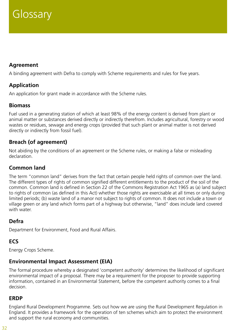#### **Agreement**

A binding agreement with Defra to comply with Scheme requirements and rules for five years.

#### **Application**

An application for grant made in accordance with the Scheme rules.

#### **Biomass**

Fuel used in a generating station of which at least 98% of the energy content is derived from plant or animal matter or substances derived directly or indirectly therefrom. Includes agricultural, forestry or wood wastes or residues, sewage and energy crops (provided that such plant or animal matter is not derived directly or indirectly from fossil fuel).

#### **Breach (of agreement)**

Not abiding by the conditions of an agreement or the Scheme rules, or making a false or misleading declaration.

#### **Common land**

The term "common land" derives from the fact that certain people held rights of common over the land. The different types of rights of common signified different entitlements to the product of the soil of the common. Common land is defined in Section 22 of the Commons Registration Act 1965 as (a) land subject to rights of common (as defined in this Act) whether those rights are exercisable at all times or only during limited periods; (b) waste land of a manor not subject to rights of common. It does not include a town or village green or any land which forms part of a highway but otherwise, "land" does include land covered with water.

#### **Defra**

Department for Environment, Food and Rural Affairs.

#### **ECS**

Energy Crops Scheme.

#### **Environmental Impact Assessment (EIA)**

The formal procedure whereby a designated 'competent authority' determines the likelihood of significant environmental impact of a proposal. There may be a requirement for the proposer to provide supporting information, contained in an Environmental Statement, before the competent authority comes to a final decision.

#### **ERDP**

England Rural Development Programme. Sets out how we are using the Rural Development Regulation in England. It provides a framework for the operation of ten schemes which aim to protect the environment and support the rural economy and communities.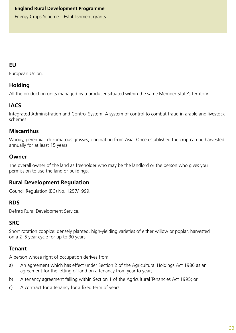#### **England Rural Development Programme**

Energy Crops Scheme – Establishment grants

#### **EU**

European Union.

#### **Holding**

All the production units managed by a producer situated within the same Member State's territory.

#### **IACS**

Integrated Administration and Control System. A system of control to combat fraud in arable and livestock schemes.

#### **Miscanthus**

Woody, perennial, rhizomatous grasses, originating from Asia. Once established the crop can be harvested annually for at least 15 years.

#### **Owner**

The overall owner of the land as freeholder who may be the landlord or the person who gives you permission to use the land or buildings.

#### **Rural Development Regulation**

Council Regulation (EC) No. 1257/1999.

#### **RDS**

Defra's Rural Development Service.

#### **SRC**

Short rotation coppice: densely planted, high-yielding varieties of either willow or poplar, harvested on a 2–5 year cycle for up to 30 years.

#### **Tenant**

A person whose right of occupation derives from:

- a) An agreement which has effect under Section 2 of the Agricultural Holdings Act 1986 as an agreement for the letting of land on a tenancy from year to year;
- b) A tenancy agreement falling within Section 1 of the Agricultural Tenancies Act 1995; or
- c) A contract for a tenancy for a fixed term of years.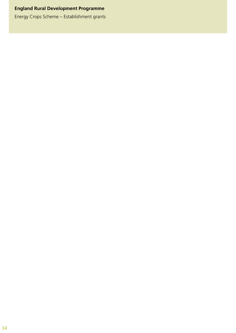#### **England Rural Development Programme**

Energy Crops Scheme – Establishment grants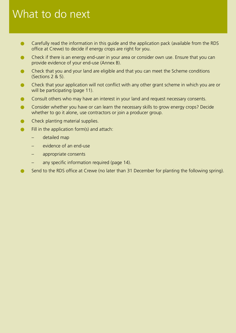## What to do next

- Carefully read the information in this guide and the application pack (available from the RDS office at Crewe) to decide if energy crops are right for you.
- Check if there is an energy end-user in your area or consider own use. Ensure that you can provide evidence of your end-use (Annex B).
- Check that you and your land are eligible and that you can meet the Scheme conditions (Sections 2 & 5).
- Check that your application will not conflict with any other grant scheme in which you are or will be participating (page 11).
- Consult others who may have an interest in your land and request necessary consents.
- Consider whether you have or can learn the necessary skills to grow energy crops? Decide whether to go it alone, use contractors or join a producer group.
- Check planting material supplies.
- $\bullet$  Fill in the application form(s) and attach:
	- detailed map
	- evidence of an end-use
	- appropriate consents
	- any specific information required (page 14).
- Send to the RDS office at Crewe (no later than 31 December for planting the following spring).